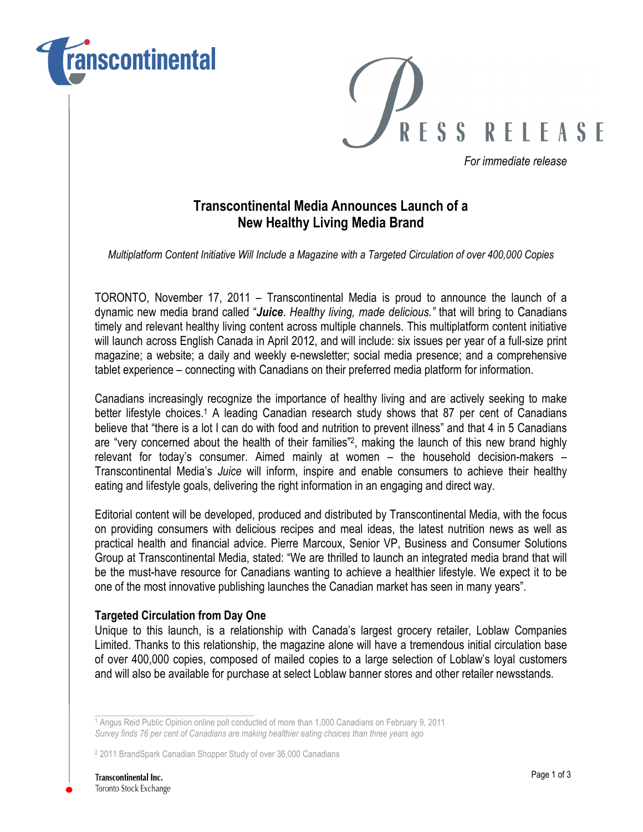



For immediate release

## Transcontinental Media Announces Launch of a New Healthy Living Media Brand

Multiplatform Content Initiative Will Include a Magazine with a Targeted Circulation of over 400,000 Copies

TORONTO, November 17, 2011 – Transcontinental Media is proud to announce the launch of a dynamic new media brand called "Juice. Healthy living, made delicious." that will bring to Canadians timely and relevant healthy living content across multiple channels. This multiplatform content initiative will launch across English Canada in April 2012, and will include: six issues per year of a full-size print magazine; a website; a daily and weekly e-newsletter; social media presence; and a comprehensive tablet experience – connecting with Canadians on their preferred media platform for information.

Canadians increasingly recognize the importance of healthy living and are actively seeking to make better lifestyle choices.<sup>1</sup> A leading Canadian research study shows that 87 per cent of Canadians believe that "there is a lot I can do with food and nutrition to prevent illness" and that 4 in 5 Canadians are "very concerned about the health of their families"<sup>2</sup> , making the launch of this new brand highly relevant for today's consumer. Aimed mainly at women – the household decision-makers – Transcontinental Media's Juice will inform, inspire and enable consumers to achieve their healthy eating and lifestyle goals, delivering the right information in an engaging and direct way.

Editorial content will be developed, produced and distributed by Transcontinental Media, with the focus on providing consumers with delicious recipes and meal ideas, the latest nutrition news as well as practical health and financial advice. Pierre Marcoux, Senior VP, Business and Consumer Solutions Group at Transcontinental Media, stated: "We are thrilled to launch an integrated media brand that will be the must-have resource for Canadians wanting to achieve a healthier lifestyle. We expect it to be one of the most innovative publishing launches the Canadian market has seen in many years".

## Targeted Circulation from Day One

\_\_\_\_\_\_\_\_\_\_\_\_\_\_\_\_\_\_\_\_\_\_\_\_\_\_\_\_\_\_\_\_\_\_\_\_\_

Unique to this launch, is a relationship with Canada's largest grocery retailer, Loblaw Companies Limited. Thanks to this relationship, the magazine alone will have a tremendous initial circulation base of over 400,000 copies, composed of mailed copies to a large selection of Loblaw's loyal customers and will also be available for purchase at select Loblaw banner stores and other retailer newsstands.

<sup>1</sup> Angus Reid Public Opinion online poll conducted of more than 1,000 Canadians on February 9, 2011 Survey finds 76 per cent of Canadians are making healthier eating choices than three years ago

<sup>2</sup> 2011 BrandSpark Canadian Shopper Study of over 36,000 Canadians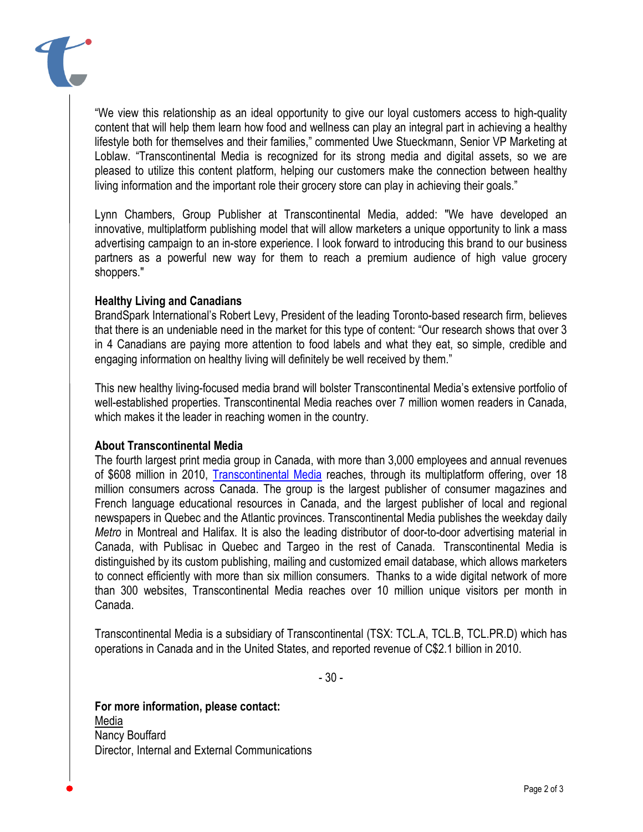

"We view this relationship as an ideal opportunity to give our loyal customers access to high-quality content that will help them learn how food and wellness can play an integral part in achieving a healthy lifestyle both for themselves and their families," commented Uwe Stueckmann, Senior VP Marketing at Loblaw. "Transcontinental Media is recognized for its strong media and digital assets, so we are pleased to utilize this content platform, helping our customers make the connection between healthy living information and the important role their grocery store can play in achieving their goals."

Lynn Chambers, Group Publisher at Transcontinental Media, added: "We have developed an innovative, multiplatform publishing model that will allow marketers a unique opportunity to link a mass advertising campaign to an in-store experience. I look forward to introducing this brand to our business partners as a powerful new way for them to reach a premium audience of high value grocery shoppers."

## Healthy Living and Canadians

BrandSpark International's Robert Levy, President of the leading Toronto-based research firm, believes that there is an undeniable need in the market for this type of content: "Our research shows that over 3 in 4 Canadians are paying more attention to food labels and what they eat, so simple, credible and engaging information on healthy living will definitely be well received by them."

This new healthy living-focused media brand will bolster Transcontinental Media's extensive portfolio of well-established properties. Transcontinental Media reaches over 7 million women readers in Canada, which makes it the leader in reaching women in the country.

## About Transcontinental Media

The fourth largest print media group in Canada, with more than 3,000 employees and annual revenues of \$608 million in 2010, Transcontinental Media reaches, through its multiplatform offering, over 18 million consumers across Canada. The group is the largest publisher of consumer magazines and French language educational resources in Canada, and the largest publisher of local and regional newspapers in Quebec and the Atlantic provinces. Transcontinental Media publishes the weekday daily Metro in Montreal and Halifax. It is also the leading distributor of door-to-door advertising material in Canada, with Publisac in Quebec and Targeo in the rest of Canada. Transcontinental Media is distinguished by its custom publishing, mailing and customized email database, which allows marketers to connect efficiently with more than six million consumers. Thanks to a wide digital network of more than 300 websites, Transcontinental Media reaches over 10 million unique visitors per month in Canada.

Transcontinental Media is a subsidiary of Transcontinental (TSX: TCL.A, TCL.B, TCL.PR.D) which has operations in Canada and in the United States, and reported revenue of C\$2.1 billion in 2010.

- 30 -

For more information, please contact: Media Nancy Bouffard Director, Internal and External Communications